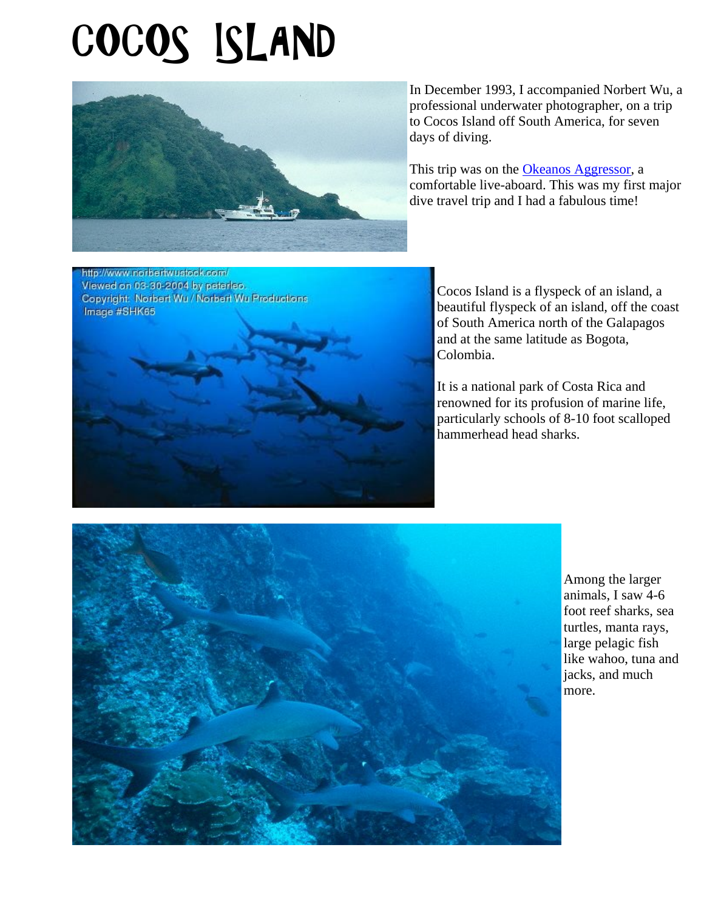## COCOS ISLAND



In December 1993, I accompanied Norbert Wu, a professional underwater photographer, on a trip to Cocos Island off South America, for seven days of diving.

This trip was on the Okeanos Aggressor, a comfortable live-aboard. This was my first major dive travel trip and I had a fabulous time!



Cocos Island is a flyspeck of an island, a beautiful flyspeck of an island, off the coast of South America north of the Galapagos and at the same latitude as Bogota, Colombia.

It is a national park of Costa Rica and renowned for its profusion of marine life, particularly schools of 8-10 foot scalloped hammerhead head sharks.



Among the larger animals, I saw 4-6 foot reef sharks, sea turtles, manta rays, large pelagic fish like wahoo, tuna and jacks, and much more.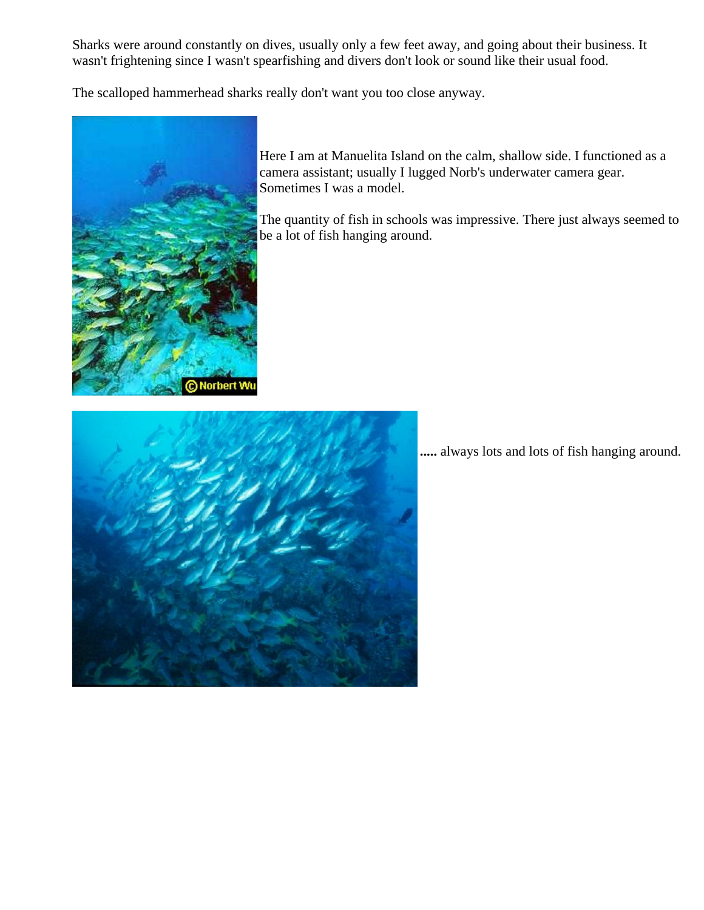Sharks were around constantly on dives, usually only a few feet away, and going about their business. It wasn't frightening since I wasn't spearfishing and divers don't look or sound like their usual food.

The scalloped hammerhead sharks really don't want you too close anyway.



Here I am at Manuelita Island on the calm, shallow side. I functioned as a camera assistant; usually I lugged Norb's underwater camera gear. Sometimes I was a model.

The quantity of fish in schools was impressive. There just always seemed to be a lot of fish hanging around.



**.....** always lots and lots of fish hanging around.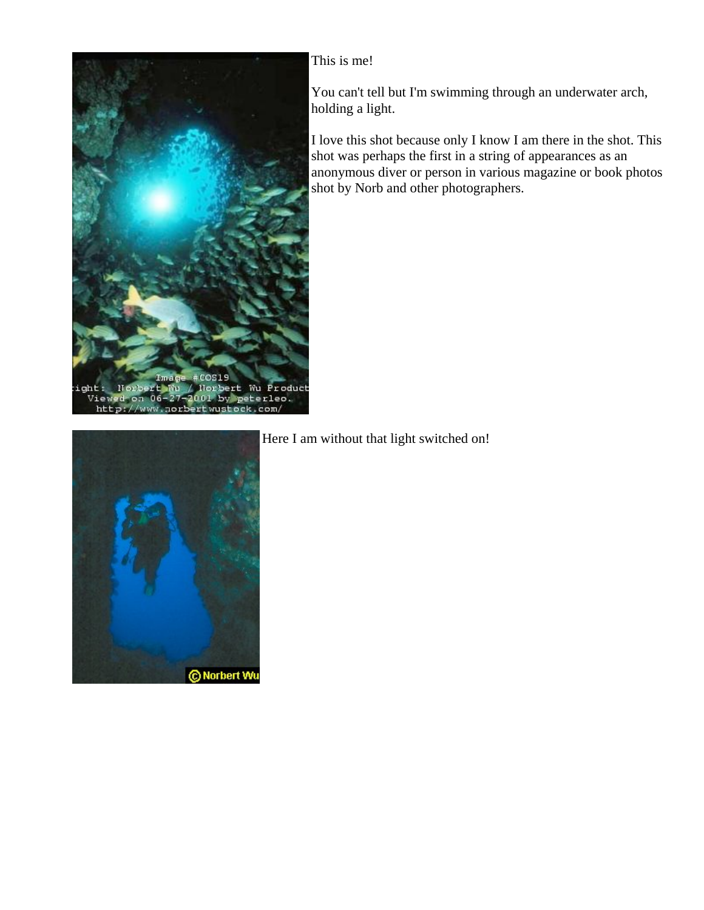

This is me!

You can't tell but I'm swimming through an underwater arch, holding a light.

I love this shot because only I know I am there in the shot. This shot was perhaps the first in a string of appearances as an anonymous diver or person in various magazine or book photos shot by Norb and other photographers.



Here I am without that light switched on!